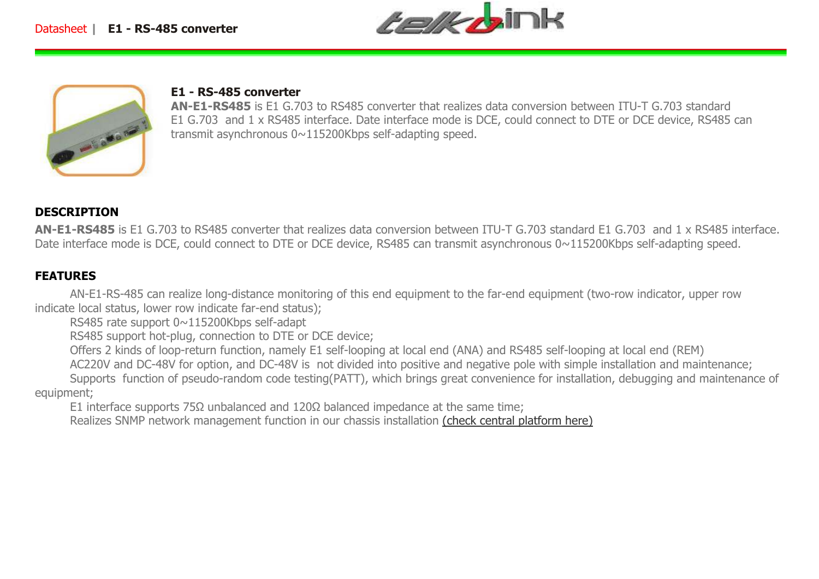



# **E1 - RS-485 converter**

 **AN-E1-RS485** is E1 G.703 to RS485 converter that realizes data conversion between ITU-T G.703 standard E1 G.703 and 1 x RS485 interface. Date interface mode is DCE, could connect to DTE or DCE device, RS485 can transmit asynchronous 0~115200Kbps self-adapting speed.

### **DESCRIPTION**

 **AN-E1-RS485** is E1 G.703 to RS485 converter that realizes data conversion between ITU-T G.703 standard E1 G.703 and 1 x RS485 interface. Date interface mode is DCE, could connect to DTE or DCE device, RS485 can transmit asynchronous 0~115200Kbps self-adapting speed.

### **FEATURES**

 AN-E1-RS-485 can realize long-distance monitoring of this end equipment to the far-end equipment (two-row indicator, upper row indicate local status, lower row indicate far-end status);

RS485 rate support 0~115200Kbps self-adapt

RS485 support hot-plug, connection to DTE or DCE device;

Offers 2 kinds of loop-return function, namely E1 self-looping at local end (ANA) and RS485 self-looping at local end (REM)

AC220V and DC-48V for option, and DC-48V is not divided into positive and negative pole with simple installation and maintenance;

 Supports function of pseudo-random code testing(PATT), which brings great convenience for installation, debugging and maintenance of equipment;

E1 interface supports  $75Ω$  unbalanced and  $120Ω$  balanced impedance at the same time;

Realizes SNMP network management function in our chassis installation (check central platform here)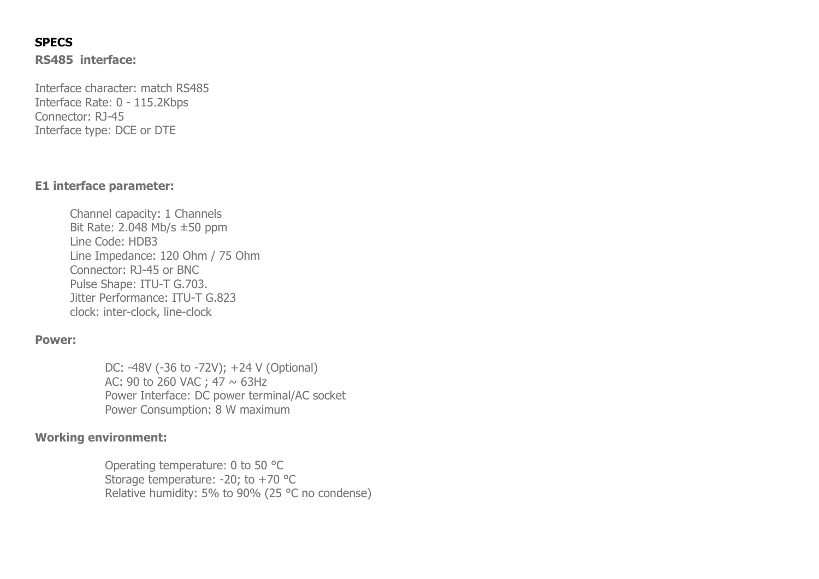## **SPECS**

**RS485 interface:**

Interface character: match RS485 Interface Rate: 0 - 115.2Kbps Connector: RJ-45 Interface type: DCE or DTE

### **E1 interface parameter:**

Channel capacity: 1 Channels Bit Rate: 2.048 Mb/s ±50 ppm Line Code: HDB3 Line Impedance: 120 Ohm / 75 Ohm Connector: RJ-45 or BNC Pulse Shape: ITU-T G.703. Jitter Performance: ITU-T G.823 clock: inter-clock, line-clock

#### **Power:**

DC: -48V (-36 to -72V); +24 V (Optional) AC: 90 to 260 VAC ; 47  $\sim$  63Hz Power Interface: DC power terminal/AC socket Power Consumption: 8 W maximum

### **Working environment:**

Operating temperature: 0 to 50 °C Storage temperature:  $-20$ ; to  $+70$  °C Relative humidity: 5% to 90% (25  $^{\circ}$ C no condense)